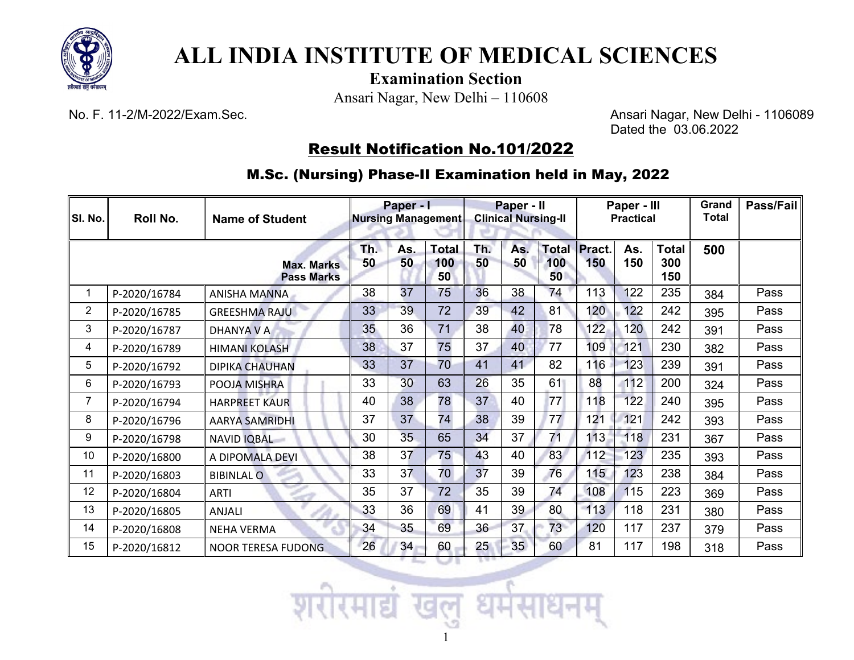

## **ALL INDIA INSTITUTE OF MEDICAL SCIENCES**

**Examination Section**

Ansari Nagar, New Delhi – 110608

No. F. 11-2/M-2022/Exam.Sec. Ansari Nagar, New Delhi - 1106089 Dated the 03.06.2022

## Result Notification No.101/2022

M.Sc. (Nursing) Phase-II Examination held in May, 2022

| SI. No.        | Roll No.     | <b>Name of Student</b>                 | Paper - I<br>Nursing Management |           |                           | Paper - II<br><b>Clinical Nursing-II</b> |           |                           | Paper - III<br><b>Practical</b> |            |                            | Grand<br>Total | Pass/Fail |
|----------------|--------------|----------------------------------------|---------------------------------|-----------|---------------------------|------------------------------------------|-----------|---------------------------|---------------------------------|------------|----------------------------|----------------|-----------|
|                |              | <b>Max. Marks</b><br><b>Pass Marks</b> | Th.<br>50                       | As.<br>50 | <b>Total</b><br>100<br>50 | Th.<br>50                                | As.<br>50 | <b>Total</b><br>100<br>50 | Pract.<br>150                   | As.<br>150 | <b>Total</b><br>300<br>150 | 500            |           |
|                | P-2020/16784 | ANISHA MANNA                           | 38                              | 37        | 75                        | 36                                       | 38        | 74                        | 113                             | 122        | 235                        | 384            | Pass      |
| $\overline{2}$ | P-2020/16785 | <b>GREESHMA RAJU</b>                   | 33                              | 39        | 72                        | 39                                       | 42        | 81                        | 120                             | 122        | 242                        | 395            | Pass      |
| 3              | P-2020/16787 | <b>DHANYA V A</b>                      | 35                              | 36        | 71                        | 38                                       | 40        | 78                        | 122                             | 120        | 242                        | 391            | Pass      |
| 4              | P-2020/16789 | <b>HIMANI KOLASH</b>                   | 38                              | 37        | 75                        | 37                                       | 40        | 77                        | 109                             | 121        | 230                        | 382            | Pass      |
| 5              | P-2020/16792 | <b>DIPIKA CHAUHAN</b>                  | 33                              | 37        | 70                        | 41                                       | 41        | 82                        | 116                             | 123        | 239                        | 391            | Pass      |
| 6              | P-2020/16793 | POOJA MISHRA                           | 33                              | 30        | 63                        | 26                                       | 35        | 61                        | 88                              | 112        | 200                        | 324            | Pass      |
| 7              | P-2020/16794 | <b>HARPREET KAUR</b>                   | 40                              | 38        | 78                        | 37                                       | 40        | 77                        | 118                             | 122        | 240                        | 395            | Pass      |
| 8              | P-2020/16796 | <b>AARYA SAMRIDHI</b>                  | 37                              | 37        | 74                        | 38                                       | 39        | 77                        | 121                             | 121        | 242                        | 393            | Pass      |
| 9              | P-2020/16798 | NAVID IQBAL                            | 30                              | 35        | 65                        | 34                                       | 37        | 71                        | 113                             | 118        | 231                        | 367            | Pass      |
| 10             | P-2020/16800 | A DIPOMALA DEVI                        | 38                              | 37        | 75                        | 43                                       | 40        | 83                        | 112                             | 123        | 235                        | 393            | Pass      |
| 11             | P-2020/16803 | <b>BIBINLAL O</b>                      | 33                              | 37        | 70                        | 37                                       | 39        | 76                        | 115                             | 123        | 238                        | 384            | Pass      |
| 12             | P-2020/16804 | <b>ARTI</b>                            | 35                              | 37        | 72                        | 35                                       | 39        | 74                        | 108                             | 115        | 223                        | 369            | Pass      |
| 13             | P-2020/16805 | ANJALI                                 | 33                              | 36        | 69                        | 41                                       | 39        | 80                        | 113                             | 118        | 231                        | 380            | Pass      |
| 14             | P-2020/16808 | <b>NEHA VERMA</b>                      | 34                              | 35        | 69                        | 36                                       | 37        | 73                        | 120                             | 117        | 237                        | 379            | Pass      |
| 15             | P-2020/16812 | <b>NOOR TERESA FUDONG</b>              | 26                              | 34        | 60                        | 25                                       | 35        | 60                        | 81                              | 117        | 198                        | 318            | Pass      |